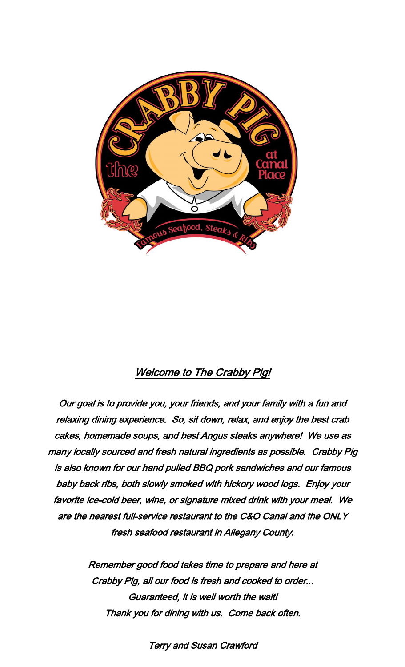

# Welcome to The Crabby Pig!

Our goal is to provide you, your friends, and your family with a fun and relaxing dining experience. So, sit down, relax, and enjoy the best crab cakes, homemade soups, and best Angus steaks anywhere! We use as many locally sourced and fresh natural ingredients as possible. Crabby Pig is also known for our hand pulled BBQ pork sandwiches and our famous baby back ribs, both slowly smoked with hickory wood logs. Enjoy your favorite ice-cold beer, wine, or signature mixed drink with your meal. We are the nearest full-service restaurant to the C&O Canal and the ONLY fresh seafood restaurant in Allegany County.

> Remember good food takes time to prepare and here at Crabby Pig, all our food is fresh and cooked to order... Guaranteed, it is well worth the wait! Thank you for dining with us. Come back often.

> > Terry and Susan Crawford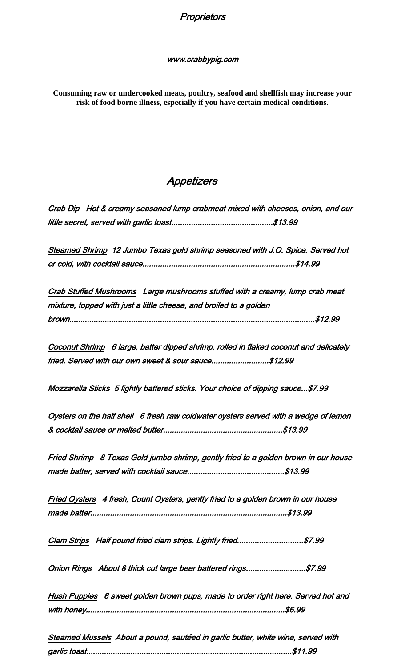#### www.crabbypig.com

**Consuming raw or undercooked meats, poultry, seafood and shellfish may increase your risk of food borne illness, especially if you have certain medical conditions**.

# Appetizers

Crab Dip Hot & creamy seasoned lump crabmeat mixed with cheeses, onion, and our little secret, served with garlic toast..............................................\$13.99

Steamed Shrimp 12 Jumbo Texas gold shrimp seasoned with J.O. Spice. Served hot or cold, with cocktail sauce.....................................................................\$14.99

Crab Stuffed Mushrooms Large mushrooms stuffed with a creamy, lump crab meat mixture, topped with just a little cheese, and broiled to a golden brown...............................................................................................................\$12.99

Coconut Shrimp 6 large, batter dipped shrimp, rolled in flaked coconut and delicately fried. Served with our own sweet & sour sauce.........................\$12.99

Mozzarella Sticks 5 lightly battered sticks. Your choice of dipping sauce...\$7.99

Oysters on the half shell 6 fresh raw coldwater oysters served with a wedge of lemon & cocktail sauce or melted butter......................................................\$13.99

Fried Shrimp 8 Texas Gold jumbo shrimp, gently fried to a golden brown in our house made batter, served with cocktail sauce............................................\$13.99

Fried Oysters 4 fresh, Count Oysters, gently fried to a golden brown in our house made batter.........................................................................................\$13.99

Clam Strips Half pound fried clam strips. Lightly fried.............................\$7.99

Onion Rings About 8 thick cut large beer battered rings..........................\$7.99

Hush Puppies 6 sweet golden brown pups, made to order right here. Served hot and with honey..........................................................................................\$6.99

Steamed Mussels About a pound, sautéed in garlic butter, white wine, served with garlic toast.............................................................................................\$11.99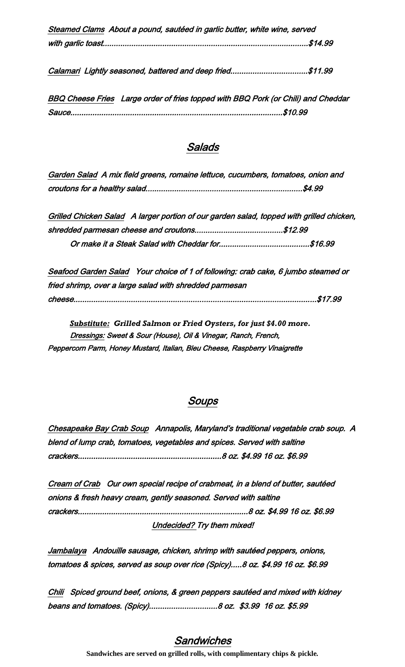| Steamed Clams About a pound, sautéed in garlic butter, white wine, served |
|---------------------------------------------------------------------------|
|                                                                           |

Calamari Lightly seasoned, battered and deep fried.................................\$11.99

BBQ Cheese Fries Large order of fries topped with BBQ Pork (or Chili) and Cheddar Sauce................................................................................................\$10.99

## Salads

| Garden Salad A mix field greens, romaine lettuce, cucumbers, tomatoes, onion and |  |  |
|----------------------------------------------------------------------------------|--|--|
|                                                                                  |  |  |

Grilled Chicken Salad A larger portion of our garden salad, topped with grilled chicken, shredded parmesan cheese and croutons........................................\$12.99 Or make it a Steak Salad with Cheddar for.........................................\$16.99

Seafood Garden Salad Your choice of 1 of following: crab cake, 6 jumbo steamed or fried shrimp, over a large salad with shredded parmesan cheese..............................................................................................................\$17.99

 *Substitute: Grilled Salmon or Fried Oysters, for just \$4.00 more.* Dressings: Sweet & Sour (House), Oil & Vinegar, Ranch, French, Peppercorn Parm, Honey Mustard, Italian, Bleu Cheese, Raspberry Vinaigrette

## Soups

Chesapeake Bay Crab Soup Annapolis, Maryland's traditional vegetable crab soup. A blend of lump crab, tomatoes, vegetables and spices. Served with saltine crackers.................................................................8 oz. \$4.99 16 oz. \$6.99

Cream of Crab Our own special recipe of crabmeat, in a blend of butter, sautéed onions & fresh heavy cream, gently seasoned. Served with saltine crackers.............................................................................8 oz. \$4.99 16 oz. \$6.99 Undecided? Try them mixed!

Jambalaya Andouille sausage, chicken, shrimp with sautéed peppers, onions, tomatoes & spices, served as soup over rice (Spicy).....8 oz. \$4.99 16 oz. \$6.99

Chili Spiced ground beef, onions, & green peppers sautéed and mixed with kidney beans and tomatoes. (Spicy)...............................8 oz. \$3.99 16 oz. \$5.99

## Sandwiches

**Sandwiches are served on grilled rolls, with complimentary chips & pickle***.*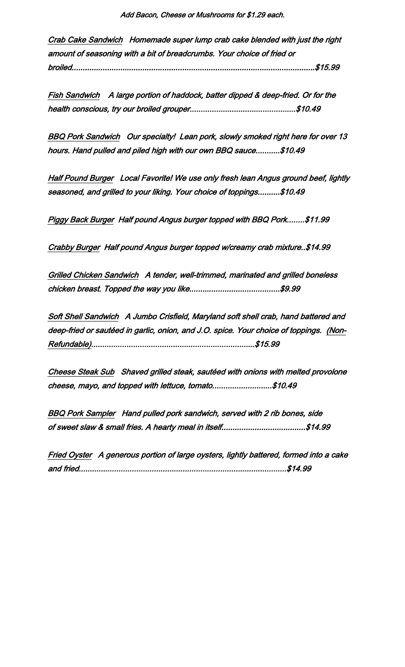Crab Cake Sandwich Homemade super lump crab cake blended with just the right amount of seasoning with a bit of breadcrumbs. Your choice of fried or broiled..............................................................................................................\$15.99

Fish Sandwich A large portion of haddock, batter dipped & deep-fried. Or for the health conscious, try our broiled grouper................................................\$10.49

BBQ Pork Sandwich Our specialty! Lean pork, slowly smoked right here for over 13 hours. Hand pulled and piled high with our own BBQ sauce...........\$10.49

Half Pound Burger Local Favorite! We use only fresh lean Angus ground beef, lightly seasoned, and grilled to your liking. Your choice of toppings..........\$10.49

Piggy Back Burger Half pound Angus burger topped with BBQ Pork........\$11.99

Crabby Burger Half pound Angus burger topped w/creamy crab mixture..\$14.99

Grilled Chicken Sandwich A tender, well-trimmed, marinated and grilled boneless chicken breast. Topped the way you like.........................................\$9.99

Soft Shell Sandwich A Jumbo Crisfield, Maryland soft shell crab, hand battered and deep-fried or sautéed in garlic, onion, and J.O. spice. Your choice of toppings. (Non-Refundable)..........................................................................\$15.99

Cheese Steak Sub Shaved grilled steak, sautéed with onions with melted provolone cheese, mayo, and topped with lettuce, tomato...........................\$10.49

BBQ Pork Sampler Hand pulled pork sandwich, served with 2 rib bones, side of sweet slaw & small fries. A hearty meal in itself......................................\$14.99

Fried Oyster A generous portion of large oysters, lightly battered, formed into a cake and fried..............................................................................................\$14.99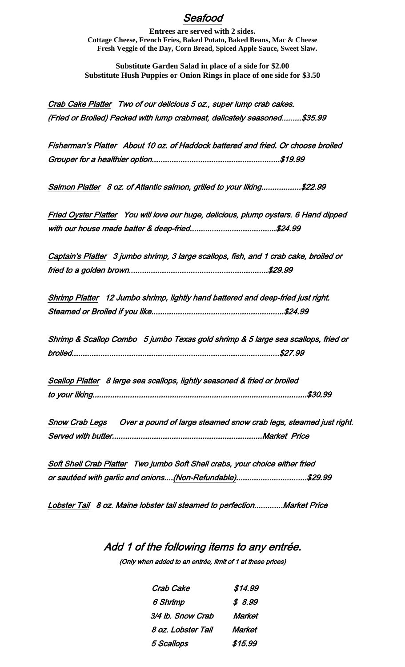## Seafood

**Entrees are served with 2 sides. Cottage Cheese, French Fries, Baked Potato, Baked Beans, Mac & Cheese Fresh Veggie of the Day, Corn Bread, Spiced Apple Sauce, Sweet Slaw.**

**Substitute Garden Salad in place of a side for \$2.00 Substitute Hush Puppies or Onion Rings in place of one side for \$3.50**

Crab Cake Platter Two of our delicious 5 oz., super lump crab cakes. (Fried or Broiled) Packed with lump crabmeat, delicately seasoned.........\$35.99

Fisherman's Platter About 10 oz. of Haddock battered and fried. Or choose broiled Grouper for a healthier option..........................................................\$19.99

Salmon Platter 8 oz. of Atlantic salmon, grilled to your liking..................\$22.99

Fried Oyster Platter You will love our huge, delicious, plump oysters. 6 Hand dipped with our house made batter & deep-fried.......................................\$24.99

Captain's Platter 3 jumbo shrimp, 3 large scallops, fish, and 1 crab cake, broiled or fried to a golden brown...............................................................\$29.99

Shrimp Platter 12 Jumbo shrimp, lightly hand battered and deep-fried just right. Steamed or Broiled if you like............................................................\$24.99

Shrimp & Scallop Combo 5 jumbo Texas gold shrimp & 5 large sea scallops, fried or broiled..............................................................................................\$27.99

Scallop Platter 8 large sea scallops, lightly seasoned & fried or broiled to your liking.................................................................................................\$30.99

Snow Crab Legs Over a pound of large steamed snow crab legs, steamed just right. Served with butter....................................................................Market Price

Soft Shell Crab Platter Two jumbo Soft Shell crabs, your choice either fried or sautéed with garlic and onions....(Non-Refundable)................................\$29.99

Lobster Tail 8 oz. Maine lobster tail steamed to perfection.............Market Price

# Add 1 of the following items to any entrée. (Only when added to an entrée, limit of 1 at these prices)

| Crab Cake          | \$14.99 |
|--------------------|---------|
| 6 Shrimp           | \$8.99  |
| 3/4 lb. Snow Crab  | Market  |
| 8 oz. Lobster Tail | Market  |
| 5 Scallops         | \$15.99 |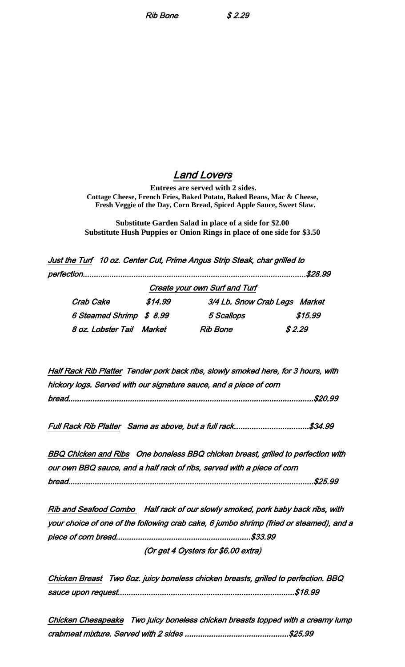Rib Bone \$ 2.29

### Land Lovers

**Entrees are served with 2 sides. Cottage Cheese, French Fries, Baked Potato, Baked Beans, Mac & Cheese, Fresh Veggie of the Day, Corn Bread, Spiced Apple Sauce, Sweet Slaw.**

**Substitute Garden Salad in place of a side for \$2.00 Substitute Hush Puppies or Onion Rings in place of one side for \$3.50**

Just the Turf 10 oz. Center Cut, Prime Angus Strip Steak, char grilled to

|                           |         |                                      | \$28.99 |
|---------------------------|---------|--------------------------------------|---------|
|                           |         | <b>Create your own Surf and Turf</b> |         |
| Crab Cake                 | \$14.99 | 3/4 Lb. Snow Crab Legs Market        |         |
| 6 Steamed Shrimp \$ 8.99  |         | 5 Scallops                           | \$15.99 |
| 8 oz. Lobster Tail Market |         | Rib Bone                             | \$2.29  |

Half Rack Rib Platter Tender pork back ribs, slowly smoked here, for 3 hours, with hickory logs. Served with our signature sauce, and a piece of corn bread...............................................................................................................\$20.99

Full Rack Rib Platter Same as above, but a full rack..................................\$34.99

BBQ Chicken and Ribs One boneless BBQ chicken breast, grilled to perfection with our own BBQ sauce, and a half rack of ribs, served with a piece of corn bread...............................................................................................................\$25.99

Rib and Seafood Combo Half rack of our slowly smoked, pork baby back ribs, with your choice of one of the following crab cake, 6 jumbo shrimp (fried or steamed), and a piece of corn bread.............................................................\$33.99 (Or get 4 Oysters for \$6.00 extra)

Chicken Breast Two 6oz. juicy boneless chicken breasts, grilled to perfection. BBQ sauce upon request................................................................................\$18.99

Chicken Chesapeake Two juicy boneless chicken breasts topped with a creamy lump crabmeat mixture. Served with 2 sides ...............................................\$25.99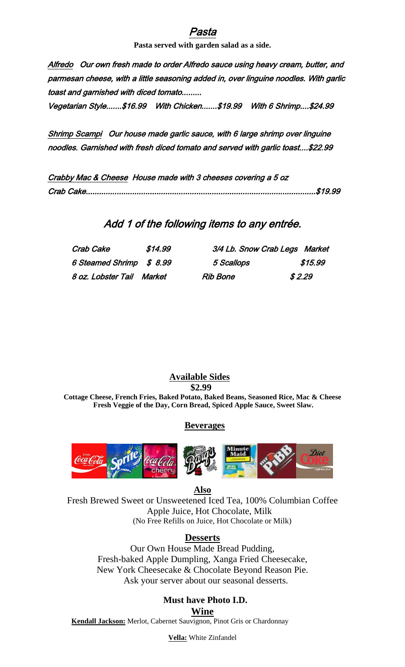## 'asta

**Pasta served with garden salad as a side.**

Alfredo Our own fresh made to order Alfredo sauce using heavy cream, butter, and parmesan cheese, with a little seasoning added in, over linguine noodles. With garlic toast and garnished with diced tomato.........

Vegetarian Style.......\$16.99 With Chicken.......\$19.99 With 6 Shrimp....\$24.99

Shrimp Scampi Our house made garlic sauce, with 6 large shrimp over linguine noodles. Garnished with fresh diced tomato and served with garlic toast....\$22.99

| Crabby Mac & Cheese House made with 3 cheeses covering a 5 oz |
|---------------------------------------------------------------|
|                                                               |

## Add 1 of the following items to any entrée.

| Crab Cake                | \$14.99 | 3/4 Lb. Snow Crab Legs Market |         |
|--------------------------|---------|-------------------------------|---------|
| 6 Steamed Shrimp \$ 8.99 |         | 5 Scallops                    | \$15.99 |
| 8 oz. Lobster Tail       | Market  | <b>Rib Bone</b>               | \$2.29  |

**Available Sides**

**\$2.99**

**Cottage Cheese, French Fries, Baked Potato, Baked Beans, Seasoned Rice, Mac & Cheese Fresh Veggie of the Day, Corn Bread, Spiced Apple Sauce, Sweet Slaw.**

 **Beverages**



**Also**

Fresh Brewed Sweet or Unsweetened Iced Tea, 100% Columbian Coffee Apple Juice, Hot Chocolate, Milk (No Free Refills on Juice, Hot Chocolate or Milk)

#### **Desserts**

Our Own House Made Bread Pudding, Fresh-baked Apple Dumpling, Xanga Fried Cheesecake, New York Cheesecake & Chocolate Beyond Reason Pie. Ask your server about our seasonal desserts.

## **Must have Photo I.D.**

**Wine**

**Kendall Jackson:** Merlot, Cabernet Sauvignon, Pinot Gris or Chardonnay

**Vella:** White Zinfandel